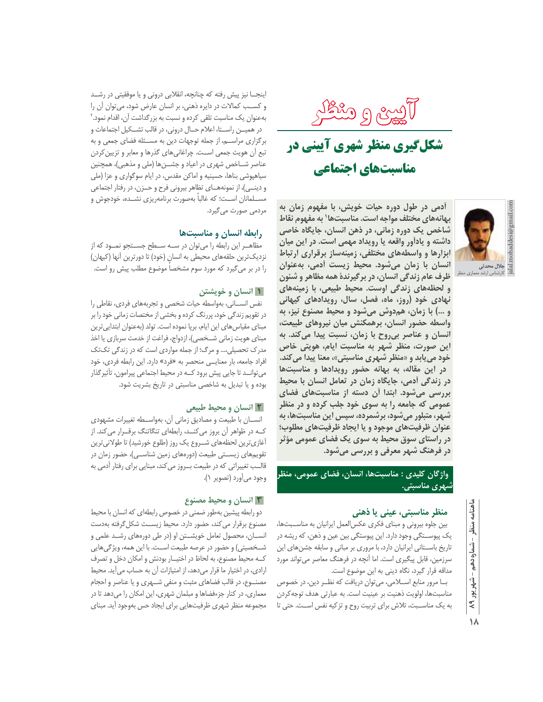آریبری و مثطکر

# شکلگیری منظر شهری آیینی در مناسبتهای اجتماعی



آدمی در طول دوره حیات خویش، با مفهوم زمان به بهانههای مختلف مواجه است. مناسبتها' به مفهوم نقاط شاخص یک دوره زمانی، در ذهن انسان، جایگاه خاصی داشته و یادآور واقعه یا رویداد مهمی است. در این میان ابزارها و واسطههای مختلفی، زمینهساز برقراری ارتباط انسان با زمان میشود. محیط زیست أدمی، بهعنوان ظرف عام زندگی انسان، در برگیرندهٔ همه مظاهر و شئون و لحظههای زندگی اوست. محیط طبیعی، با زمینههای نهادی خود (روز، ماه، فصل، سال، رویدادهای کیهانی و …) با زمان، همدوش میشود و محیط مصنوع نیز، به واسطه حضور انسان، برهمکنش میان نیروهای طبیعت، انسان و عناصر بیروح با زمان، نسبت پیدا میکند. به این صورت، منظر شهر به مناسبت ایام، هویتی خاص خود می بابد و «منظر شهری مناسبتی»، معنا پیدا می کند. در این مقاله، به بهانه حضور رویدادها و مناسبتها در زندگی آدمی، جایگاه زمان در تعامل انسان با محیط بررسی میشود. ابتدا آن دسته از مناسبتهای فضای عمومي که جامعه را به سوي خود جلب کرده و در منظر شهر، متبلور میشود، برشمرده، سپس این مناسبتها، به عنوان ظرفیتهای موجود و یا ایجاد ظرفیتهای مطلوب؛ در راستای سوق محیط به سوی یک فضای عمومی مؤثر در فرهنگ شهر معرفی و بررسی میشود.

واژگان کلیدی : مناسبتها، انسان، فضای عمومی، منظر شهری مناسبتی.

## منظر مناسبتی، عینی یا ذهنی

بین جلوه بیرونی و مبنای فکری عکس العمل ایرانیان به مناسـبتها، یک پیوسـتگی وجود دارد. این پیوستگی بین عین و ذهن، که ریشه در تاریخ باستانی ایرانیان دارد، با مروری بر مبانی و سابقه جشنهای این سرزمین، قابل پیگیری است. اما آنچه در فرهنگ معاصر می تواند مورد مداقه قرار گیرد، نگاه دینی به این موضوع است.

بــا مرور منابع اســـلامى، مى توان دريافت كه نظــر دين، در خصوص مناسبتها، اولويت ذهنيت بر عينيت است. به عبارتي هدف توجه كردن به یک مناسـبت، تلاش برای تربیت روح و تزکیه نفس اسـت. حتی تا

اینجــا نیز پیش رفته که چنانچه، انقلابی درونی و یا موفقیتی در رشــد و کسب کمالات در دایره ذهنی، بر انسان عارض شود، می توان آن را بهعنوان یک مناسبت تلقی کرده و نسبت به بزرگداشت آن، اقدام نمود.<sup>۲</sup> در همیـن راسـتا، اعلام حـال درونی، در قالب تشـكيل اجتماعات و برگزاری مراسه، از جمله توجهات دین به مسـئله فضای جمعی و به تبع أن هويت جمعي اسـت. چراغاني هاي گذرها و معابر و تزيين كردن عناصر شــاخص شهري در اعياد و جشـــنها (ملي و مذهبي)، همچنين سیاهپوشی بناها، حسینیه و اماکن مقدس، در ایام سوگواری و عزا (ملی و دینــی)، از نمونههــای تظاهر بیرونی فرح و حــزن، در رفتار اجتماعی مســلمانان اســت؛ كه غالباً بهصورت برنامهريزي نشــده، خودجوش و مردمی صورت می گیرد.

# رابطه انسان و مناسبتها

مظاهــر این رابطه را می توان در ســه ســطح جســتجو نمــود که از نزدیکترین حلقههای محیطی به انسانِ (خود) تا دورترین آنها (کیهان) را در بر می گیرد که مورد سوم مشخصا موضوع مطلب پیش رو است.

# <mark>۱ انسان و خویشتن</mark>

نفس انسـاني، بهواسطه حيات شخصي وتجربههاي فردي، نقاطي را در تقویم زندگی خود، پررنگ کرده و بخشی از مختصات زمانی خود را بر مبنای مقیاس های این ایام، برپا نموده است. تولد (بهعنوان ابتدایی ترین مبنای هویت زمانی شــخصی)، ازدواج، فراغت از خدمت سربازی یا اخذ مدرک تحصیلی،... و مرگ؛ از جمله مواردی است که در زندگی تکتک افراد جامعه، بار معنایــی منحصر به «فرد» دارد. این رابطه فردی، خود می توانــد تا جایی پیش برود کــه در محیط اجتماعی پیرامون، تأثیر گذار بوده و یا تبدیل به شاخصی مناسبتی در تاریخ بشریت شود.

## <mark>۲ انسان و محیط طبیعی</mark>

انسان با طبیعت و مصادیق زمانی آن، بهواسطه تغییرات مشهودی کــه در ظواهر آن بروز می کنــد، رابطهای تنگاتنگ برقــرار می کند. از آغازی ترین لحظههای شـروع یک روز (طلوع خورشید) تا طولانی ترین تقویمهای زیستی طبیعت (دورههای زمین شناسـی)، حضور زمان در قالــب تغییراتی که در طبیعت بـــروز میکند، مبنایی برای رفتار آدمی به وجود ميأورد (تصوير ١).

# **۳ انسان و محیط مصنوع**

دو رابطه پیشین بهطور ضمنی در خصوص رابطهای که انسان با محیط مصنوع برقرار می کند، حضور دارد. محیط زیســت شکل گرفته بهدست انســان، محصول تعامل خویشــتن او (در طی دورههای رشــد علمی و شــخصیتی) و حضور در عرصه طبیعت اســت. با این همه، ویژگیهایی کــه محیط مصنوع، به لحاظ در اختیــار بودنش و امکان دخل و تصرف ارادی، در اختیار ما قرار میدهد، از امتیازات آن به حساب می آید. محیط مصنــوع، در قالب فضاهای مثبت و منفی شــهری و یا عناصر و احجام معماري، در كنار جزءفضاها و مبلمان شهري، اين امكان را مي دهد تا در مجموعه منظر شهرى ظرفيتهايى براى ايجاد حس بهوجود أيد. مبناى

۱۸

اهنامه

منظر

- شماره دهم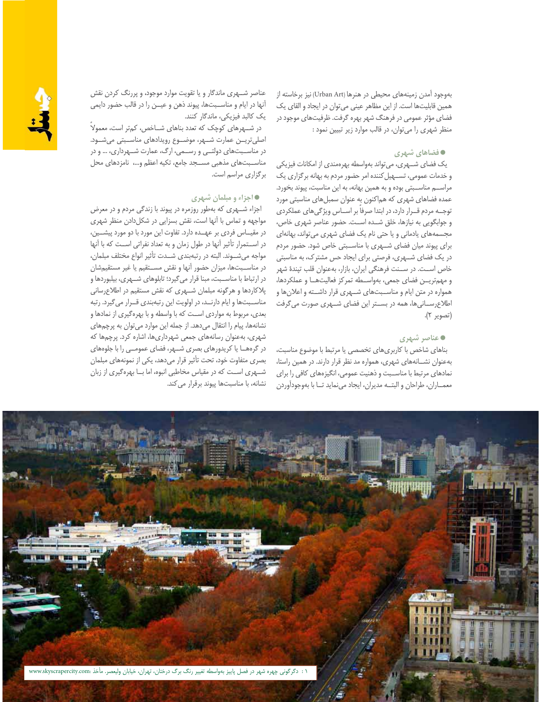بهوجود آمدن زمینههای محیطی در هنرها (Urban Art) نیز برخاسته از همین قابلیتها است. از این مظاهر عینی می توان در ایجاد و القای یک فضای مؤثر عمومی در فرهنگ شهر بهره گرفت. ظرفیتهای موجود در منظر شهری را می توان، در قالب موارد زیر تبیین نمود:

#### ● فضاهای شهری

یک فضای شهری، می تواند بهواسطه بهرهمندی از امکانات فیزیکی و خدمات عمومی، تسهیل کننده امر حضور مردم به بهانه بر گزاری یک مراسه مناسـبتی بوده و به همین بهانه، به این مناسبت، پیوند بخورد. عمده فضاهای شهری که هماکنون به عنوان سمبلهای مناسبتی مورد توجه مردم قوار دارد، در ابتدا صرفا بر اساس ویژگیهای عملکردی و جوابگویی به نیازها، خلق شده است. حضور عناصر شهری خاص، مجسمههای یادمانی و یا حتی نام یک فضای شهری می تواند، بهانهای برای پیوند میان فضای شـهری با مناسـبتی خاص شود. حضور مردم در یک فضای شـهری، فرصتی برای ایجاد حس مشترک، به مناسبتی خاص اسـت. در ســنت فرهنگی ایران، بازار، بهعنوان قلب تپندهٔ شهر و مهم تریـــن فضای جمعی، بهواســطه تمرکز فعالیتهــا و عملکردها، همواره در متن ایام و مناسـبتهای شـهری قرار داشــته و اعلانها و اطلاع رسانی ها، همه در بستر این فضای شهری صورت می گرفت (تصوير ٢).

## **0 عناصر شهری**

بناهای شاخص با کاربریهای تخصصی یا مرتبط با موضوع مناسبت، بهعنوان نشـانههای شهری، همواره مد نظر قرار دارند. در همین راستا، نمادهای مرتبط با مناسبت و ذهنیت عمومی، انگیزههای کافی را برای معمـاران، طراحان و البتــه مديران، ايجاد مى نمايد تــا با بهوجودآوردن

عناصر شــهری ماندگار و یا تقویت موارد موجود، و پررنگ کردن نقش آنها در ايام و مناسـبتها، پيوند ذهن و عيــن را در قالب حضور دايمي یک کالبد فیزیکی، ماندگار کنند.

در شهرهای کوچک که تعدد بناهای شاخص، کمتر است، معمولا اصلي تريـن عمارت شـهر، موضـوع رويدادهاي مناسـبتي مي شـود. در مناسـبتهای دولتــی و رســمی، ارگ، عمارت شــهرداری، … و در مناسبتهای مذهبی مسـجد جامع، تکیه اعظم و...، نامزدهای محل برگزاری مراسم است.

#### • اجزاء و مبلمان شهری

اجزاء شهری که بهطور روزمره در پیوند با زندگی مردم و در معرض مواجهه و تماس با آنها است، نقش بسزایی در شکلدادن منظر شهری در مقیـاس فردی بر عهــده دارد. تفاوت این مورد با دو مورد پیشــین، در استمرار تأثیر آنها در طول زمان و به تعداد نفراتی است که با آنها مواجه می شوند. البته در رتبهبندی شـدت تأثیر انواع مختلف مبلمان، در مناسـبتها، میزان حضور آنها و نقش مسـتقیم یا غیر مستقیمشان در ارتباط با مناسـبت، مبنا قرار میگیرد؛ تابلوهای شـهری، بیلبوردها و پلاکاردها و هرگونه مبلمان شـهری که نقش مستقیم در اطلاعرسانی مناسبتها و ایام دارنـد، در اولویت این رتبهبندی قـرار می گیرد. رتبه بعدی، مربوط به مواردی اســت که با واسطه و با بهرهگیری از نمادها و نشانهها، پیام را انتقال میدهد. از جمله این موارد می توان به پرچمهای شهری، بهعنوان رسانههای جمعی شهرداریها، اشاره کرد. پرچمها که در گرههــا یا کریدورهای بصری شــهر، فضای عمومــی را با جلوههای بصری متفاوت خود، تحت تأثیر قرار میدهد، یکی از نمونههای مبلمان شــهری اســت که در مقیاس مخاطبی انبوه، اما بــا بهرهگیری از زبان نشانه، با مناسبتها پیوند برقرار می کند.

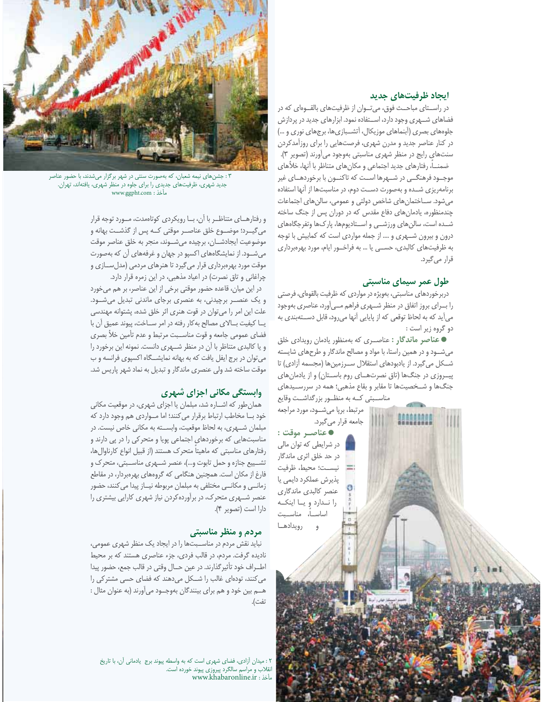#### ایجاد ظرفیتهای جدید

در راستای مباحث فوق، میتوان از ظرفیتهای بالقوهای که در فضاهای شهری وجود دارد، استفاده نمود. ابزارهای جدید در پردازش جلوههای بصری (آبنماهای موزیکال، آتشبازیها، برجهای نوری و ...) در کنار عناصر جدید و مدرن شهری، فرصتهایی را برای روزآمدکردن سنتهای رایج در منظر شهری مناسبتی بهوجود میآورند (تصویر ۳). ضمنــا، رفتارهاي جديد اجتماعي و مكان،هاي متناظر با أنها، خلأهاي موجــود فرهنگـــی در شـــهرها اســت که تاکنـــون با برخوردهـــای غیر برنامهریزی شده و بهصورت دست دوم، در مناسبتها از آنها استفاده میشود. ســاختمانِ های شاخص دولتی و عمومی، سالنِ های اجتماعات چندمنظوره، یادمان های دفاع مقدس که در دوران پس از جنگ ساخته شــده است، سالنهای ورزشــی و اســتادیومها، پارکـها وتفرجگاههای درون و بیرون شـهری و …. از جمله مواردی است که کمابیش با توجه به ظرفیتهای کالبدی، حسـی یا ... به فراخـور ایام، مورد بهرهبرداری قرار م*ی گ*یرد.

# طول عمر سیمای مناسبتی

دربرخوردهای مناسبتی، بهویژه در مواردی که ظرفیت بالقوهای، فرصتی را بـــرای بروز اتفاق در منظر شـــهری فراهم مـــی[ورد، عناصری بهوجود می آید که به لحاظ توقعی که از پایایی آنها می رود، قابل دستهبندی به دو گروه زير است :

• عناصر ماندگار : عناصری که بهمنظور یادمان رویدادی خلق می شود و در همین راستا، با مواد و مصالح ماندگار و طرحهای شایسته شــکل می گیرد. از یادبودهای استقلال ســرزمینها (مجسمه آزادی) تا پیروزی در جنگها (تاق نصرتهای روم باستان) و از یادمانهای جنگها و شـخصیتها تا مقابر و بقاع مذهبی؛ همه در سررسـیدهای

مناســبتى كــه به منظــور بزرگداشــت وقايع مرتبط، برپا میشود، مورد مراجعه جامعه قرار مي گيرد. ● عناصـر موقت :

در شرایطی که توان مالی در حد خلق اثری ماندگار نيسـت؛ محيط، ظرفيت پذیرش عملکرد دایمی یا عنصر كالبدى ماندگارى را نــدارد و يــا اينكــه اساســـاً، مناســبت و رويدادهــا



۰۳ جشنهای نیمه شعبان، که بهصورت سنتی در شهر برگزار میشدند، با حضور عناصر جدید شهری، ظرفیتهای جدیدی را برای جلوه در منظر شهری، یافتهاند، تهران. www.ggpht.com : مأخذ

و رفتارهای متناظر با آن، با رویکردی کوتاهمدت، مورد توجه قرار می گیـــرد؛ موضـــوع خلق عناصـــر موقتی کــه پس از گذشــت بهانه و موضوعيت ايجادشان، برچيده مى شوند، منجر به خلق عناصر موقت می شـود. از نمایشگاههای اکسپو در جهان و غرفههای آن که بهصورت موقت مورد بهرهبرداری قرار میگیرد تا هنرهای مردمی (مدل سازی و چراغانی و تاق نصرت) در اعیاد مذهبی، در این زمره قرار دارد.

در این میان، قاعده حضور موقتی برخی از این عناصر، بر هم میخورد و یک عنصـر برچیدنی، به عنصری برجای ماندنی تبدیل میشـود. علت این امر را می توان در قوت هنری اثر خلق شده، پشتوانه مهندسی یـــا کیفیت بـــالای مصالح به کار رفته در امر ســـاخت، پیوند عمیق أن با فضاي عمومي جامعه و قوت مناســبت مرتبط و عدم تأمين خلأ بصري و یا کالبدی متناظر با آن در منظر شهری دانست. نمونه این برخورد را می توان در برج ایفل یافت که به بهانه نمایشگاه اکسپوی فرانسه و ب موقت ساخته شد ولی عنصری ماندگار و تبدیل به نماد شهر پاریس شد.

# وابستگی مکانی اجزای شهری

همان طور که اشاره شد، مبلمان یا اجزای شهری، در موقعیت مکانی خود بــا مخاطب ارتباط برقرار مي كنند؛ اما مــواردي هم وجود دارد كه مبلمان شـهري، به لحاظ موقعيت، وابسـته به مكاني خاص نيست. در مناسبتهایی که برخوردهای اجتماعی پویا و متحرکی را در پی دارند و رفتارهای مناسبتی که ماهیتا متحرک هستند (از قبیل انواع کارناوال ها، تشــييع جنازه و حمل تابوت و...)، عنصر شــهري مناســبتي، متحرك و فارغ از مکان است. همچنین هنگامی که گروههای بهرهبردار، در مقاطع زمانــی و مکانــی مختلفی به مبلمان مربوطه نیــاز پیدا می کنند، حضور عنصر شـهری متحرک، در برآوردهکردن نیاز شهری کارایی بیشتری را دارا است (تصوير ۴).

## مردم و منظر مناسبتی

نباید نقش مردم در مناسبتها را در ایجاد یک منظر شهری عمومی، نادیده گرفت. مردم، در قالب فردی، جزء عناصری هستند که بر محیط اطـراف خود تأثیر گذارند. در عین حـال وقتی در قالب جمع، حضور پیدا می کنند، تودهای غالب را شکل می دهند که فضای حسی مشترکی را هــم بين خود و هم براي بينندگان بهوجــود مي آورند (به عنوان مثال : تفت).

٢: میدان آزادی، فضای شهری است که به واسطه پیوند برج یادمانی آن، با تاریخ .<br>انقلاب و مراسم سالگرد پیروزی پیوند خورده است.<br>مأخذ : www.khabaronline.ir